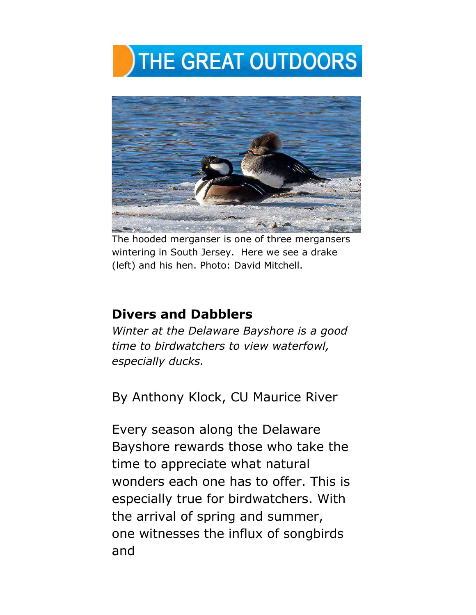



The hooded merganser is one of three mergansers wintering in South Jersey. Here we see a drake (left) and his hen. Photo: David Mitchell.

## **Divers and Dabblers**

*Winter at the Delaware Bayshore is a good time to birdwatchers to view waterfowl, especially ducks.* 

By Anthony Klock, CU Maurice River

Every season along the Delaware Bayshore rewards those who take the time to appreciate what natural wonders each one has to offer. This is especially true for birdwatchers. With the arrival of spring and summer, one witnesses the influx of songbirds and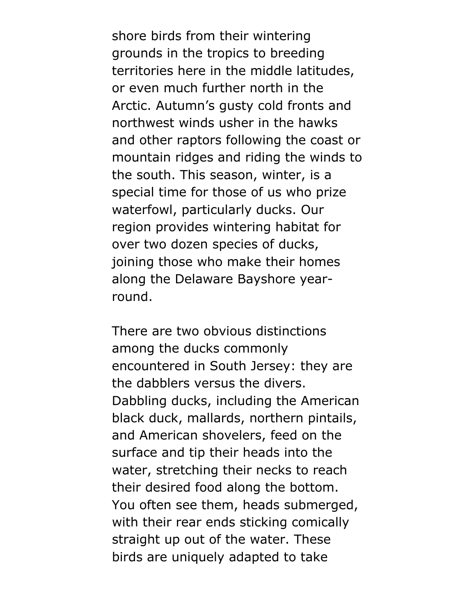shore birds from their wintering grounds in the tropics to breeding territories here in the middle latitudes, or even much further north in the Arctic. Autumn's gusty cold fronts and northwest winds usher in the hawks and other raptors following the coast or mountain ridges and riding the winds to the south. This season, winter, is a special time for those of us who prize waterfowl, particularly ducks. Our region provides wintering habitat for over two dozen species of ducks, joining those who make their homes along the Delaware Bayshore yearround.

There are two obvious distinctions among the ducks commonly encountered in South Jersey: they are the dabblers versus the divers. Dabbling ducks, including the American black duck, mallards, northern pintails, and American shovelers, feed on the surface and tip their heads into the water, stretching their necks to reach their desired food along the bottom. You often see them, heads submerged, with their rear ends sticking comically straight up out of the water. These birds are uniquely adapted to take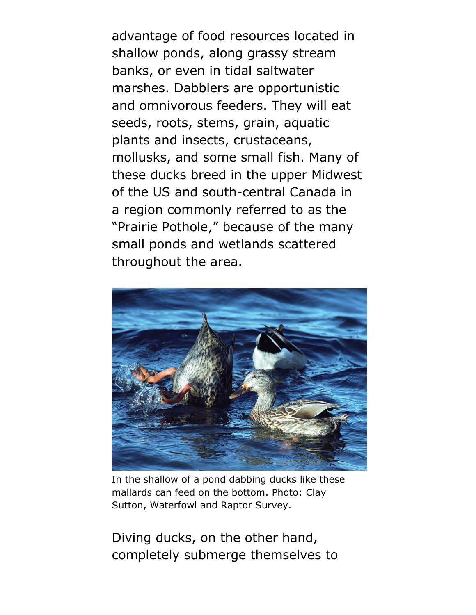advantage of food resources located in shallow ponds, along grassy stream banks, or even in tidal saltwater marshes. Dabblers are opportunistic and omnivorous feeders. They will eat seeds, roots, stems, grain, aquatic plants and insects, crustaceans, mollusks, and some small fish. Many of these ducks breed in the upper Midwest of the US and south-central Canada in a region commonly referred to as the "Prairie Pothole," because of the many small ponds and wetlands scattered throughout the area.



In the shallow of a pond dabbing ducks like these mallards can feed on the bottom. Photo: Clay Sutton, Waterfowl and Raptor Survey.

Diving ducks, on the other hand, completely submerge themselves to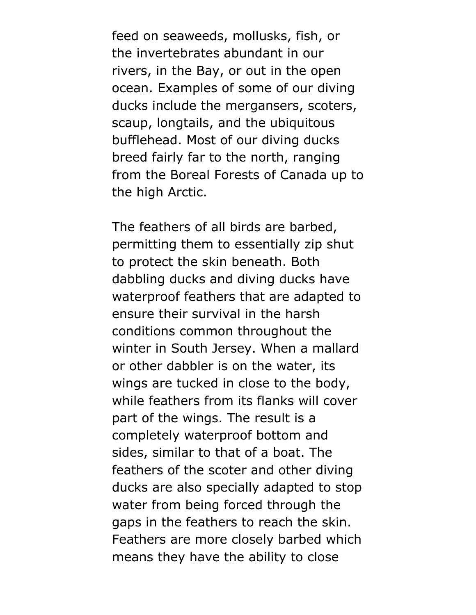feed on seaweeds, mollusks, fish, or the invertebrates abundant in our rivers, in the Bay, or out in the open ocean. Examples of some of our diving ducks include the mergansers, scoters, scaup, longtails, and the ubiquitous bufflehead. Most of our diving ducks breed fairly far to the north, ranging from the Boreal Forests of Canada up to the high Arctic.

The feathers of all birds are barbed, permitting them to essentially zip shut to protect the skin beneath. Both dabbling ducks and diving ducks have waterproof feathers that are adapted to ensure their survival in the harsh conditions common throughout the winter in South Jersey. When a mallard or other dabbler is on the water, its wings are tucked in close to the body, while feathers from its flanks will cover part of the wings. The result is a completely waterproof bottom and sides, similar to that of a boat. The feathers of the scoter and other diving ducks are also specially adapted to stop water from being forced through the gaps in the feathers to reach the skin. Feathers are more closely barbed which means they have the ability to close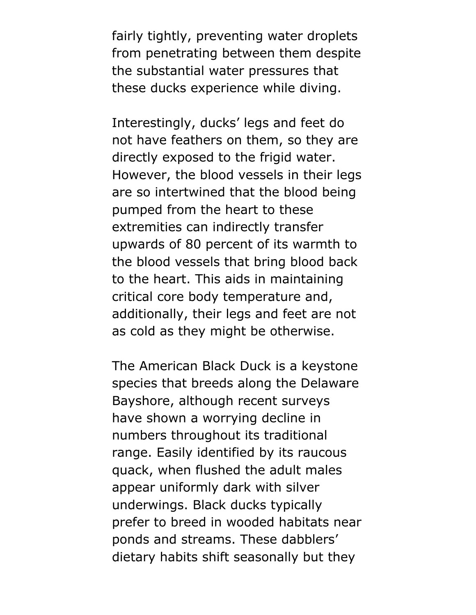fairly tightly, preventing water droplets from penetrating between them despite the substantial water pressures that these ducks experience while diving.

Interestingly, ducks' legs and feet do not have feathers on them, so they are directly exposed to the frigid water. However, the blood vessels in their legs are so intertwined that the blood being pumped from the heart to these extremities can indirectly transfer upwards of 80 percent of its warmth to the blood vessels that bring blood back to the heart. This aids in maintaining critical core body temperature and, additionally, their legs and feet are not as cold as they might be otherwise.

The American Black Duck is a keystone species that breeds along the Delaware Bayshore, although recent surveys have shown a worrying decline in numbers throughout its traditional range. Easily identified by its raucous quack, when flushed the adult males appear uniformly dark with silver underwings. Black ducks typically prefer to breed in wooded habitats near ponds and streams. These dabblers' dietary habits shift seasonally but they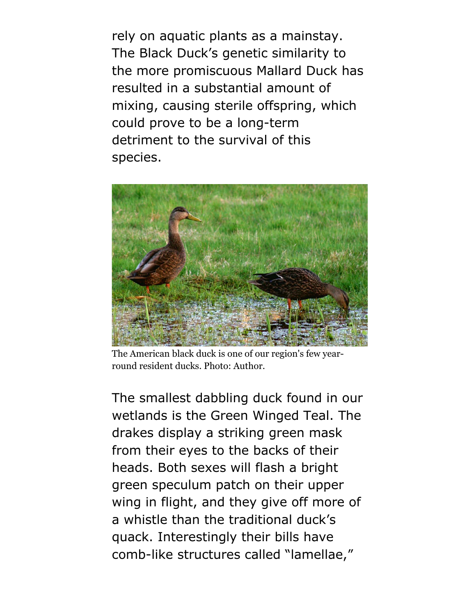rely on aquatic plants as a mainstay. The Black Duck's genetic similarity to the more promiscuous Mallard Duck has resulted in a substantial amount of mixing, causing sterile offspring, which could prove to be a long-term detriment to the survival of this species.



The American black duck is one of our region's few yearround resident ducks. Photo: Author.

The smallest dabbling duck found in our wetlands is the Green Winged Teal. The drakes display a striking green mask from their eyes to the backs of their heads. Both sexes will flash a bright green speculum patch on their upper wing in flight, and they give off more of a whistle than the traditional duck's quack. Interestingly their bills have comb-like structures called "lamellae,"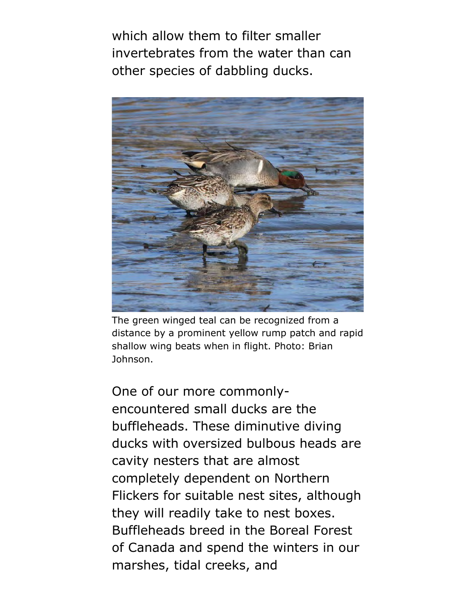which allow them to filter smaller invertebrates from the water than can other species of dabbling ducks.



The green winged teal can be recognized from a distance by a prominent yellow rump patch and rapid shallow wing beats when in flight. Photo: Brian Johnson.

One of our more commonlyencountered small ducks are the buffleheads. These diminutive diving ducks with oversized bulbous heads are cavity nesters that are almost completely dependent on Northern Flickers for suitable nest sites, although they will readily take to nest boxes. Buffleheads breed in the Boreal Forest of Canada and spend the winters in our marshes, tidal creeks, and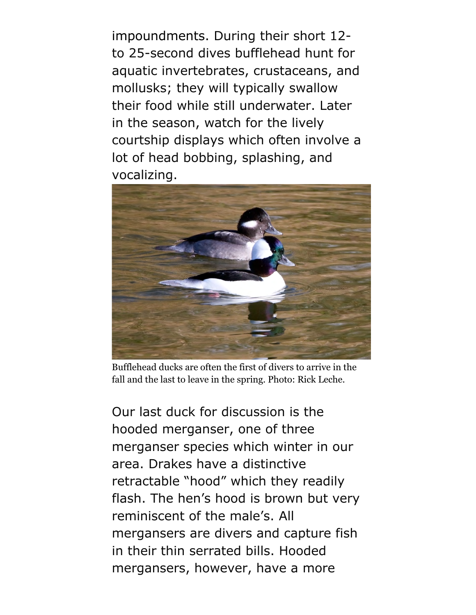impoundments. During their short 12 to 25-second dives bufflehead hunt for aquatic invertebrates, crustaceans, and mollusks; they will typically swallow their food while still underwater. Later in the season, watch for the lively courtship displays which often involve a lot of head bobbing, splashing, and vocalizing.



Bufflehead ducks are often the first of divers to arrive in the fall and the last to leave in the spring. Photo: Rick Leche.

Our last duck for discussion is the hooded merganser, one of three merganser species which winter in our area. Drakes have a distinctive retractable "hood" which they readily flash. The hen's hood is brown but very reminiscent of the male's. All mergansers are divers and capture fish in their thin serrated bills. Hooded mergansers, however, have a more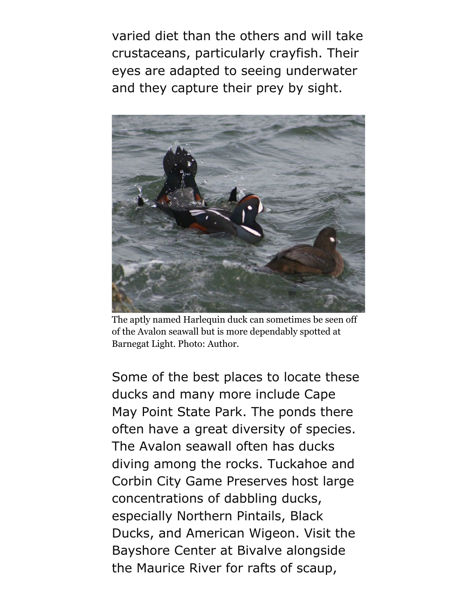varied diet than the others and will take crustaceans, particularly crayfish. Their eyes are adapted to seeing underwater and they capture their prey by sight.



The aptly named Harlequin duck can sometimes be seen off of the Avalon seawall but is more dependably spotted at Barnegat Light. Photo: Author.

Some of the best places to locate these ducks and many more include Cape May Point State Park. The ponds there often have a great diversity of species. The Avalon seawall often has ducks diving among the rocks. Tuckahoe and Corbin City Game Preserves host large concentrations of dabbling ducks, especially Northern Pintails, Black Ducks, and American Wigeon. Visit the Bayshore Center at Bivalve alongside the Maurice River for rafts of scaup,